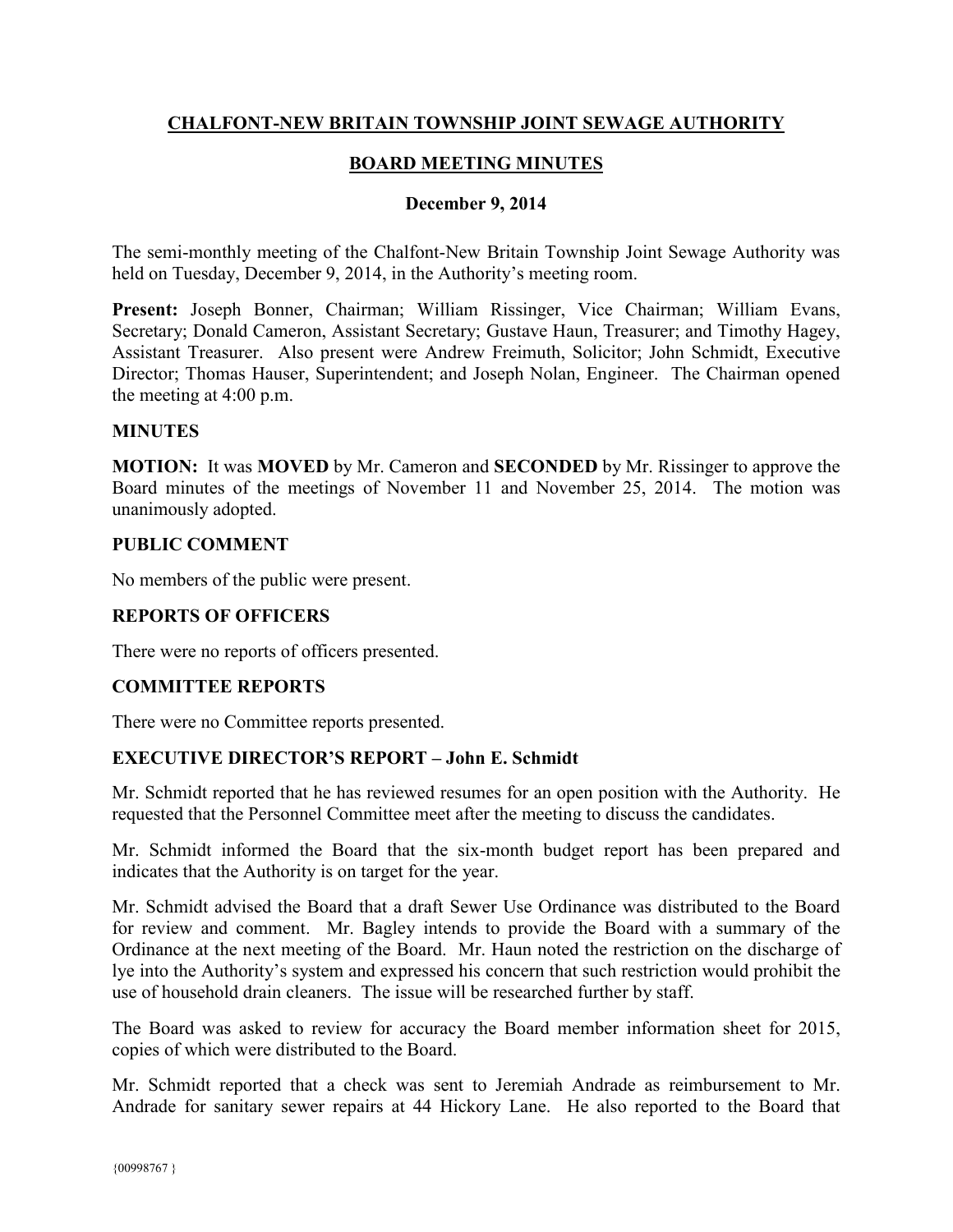## **CHALFONT-NEW BRITAIN TOWNSHIP JOINT SEWAGE AUTHORITY**

# **BOARD MEETING MINUTES**

#### **December 9, 2014**

The semi-monthly meeting of the Chalfont-New Britain Township Joint Sewage Authority was held on Tuesday, December 9, 2014, in the Authority's meeting room.

**Present:** Joseph Bonner, Chairman; William Rissinger, Vice Chairman; William Evans, Secretary; Donald Cameron, Assistant Secretary; Gustave Haun, Treasurer; and Timothy Hagey, Assistant Treasurer. Also present were Andrew Freimuth, Solicitor; John Schmidt, Executive Director; Thomas Hauser, Superintendent; and Joseph Nolan, Engineer. The Chairman opened the meeting at 4:00 p.m.

#### **MINUTES**

**MOTION:** It was **MOVED** by Mr. Cameron and **SECONDED** by Mr. Rissinger to approve the Board minutes of the meetings of November 11 and November 25, 2014. The motion was unanimously adopted.

### **PUBLIC COMMENT**

No members of the public were present.

### **REPORTS OF OFFICERS**

There were no reports of officers presented.

#### **COMMITTEE REPORTS**

There were no Committee reports presented.

## **EXECUTIVE DIRECTOR'S REPORT – John E. Schmidt**

Mr. Schmidt reported that he has reviewed resumes for an open position with the Authority. He requested that the Personnel Committee meet after the meeting to discuss the candidates.

Mr. Schmidt informed the Board that the six-month budget report has been prepared and indicates that the Authority is on target for the year.

Mr. Schmidt advised the Board that a draft Sewer Use Ordinance was distributed to the Board for review and comment. Mr. Bagley intends to provide the Board with a summary of the Ordinance at the next meeting of the Board. Mr. Haun noted the restriction on the discharge of lye into the Authority's system and expressed his concern that such restriction would prohibit the use of household drain cleaners. The issue will be researched further by staff.

The Board was asked to review for accuracy the Board member information sheet for 2015, copies of which were distributed to the Board.

Mr. Schmidt reported that a check was sent to Jeremiah Andrade as reimbursement to Mr. Andrade for sanitary sewer repairs at 44 Hickory Lane. He also reported to the Board that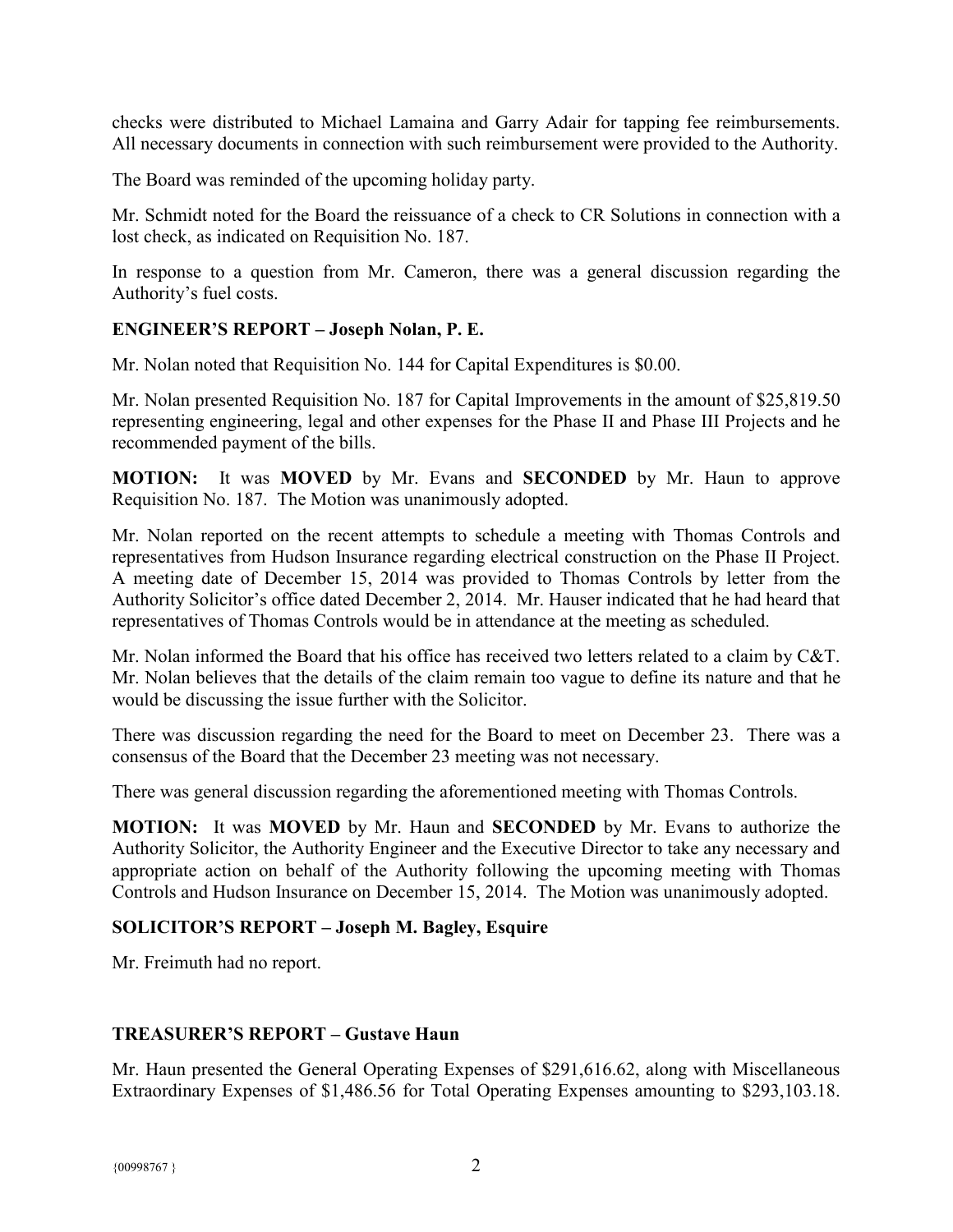checks were distributed to Michael Lamaina and Garry Adair for tapping fee reimbursements. All necessary documents in connection with such reimbursement were provided to the Authority.

The Board was reminded of the upcoming holiday party.

Mr. Schmidt noted for the Board the reissuance of a check to CR Solutions in connection with a lost check, as indicated on Requisition No. 187.

In response to a question from Mr. Cameron, there was a general discussion regarding the Authority's fuel costs.

### **ENGINEER'S REPORT – Joseph Nolan, P. E.**

Mr. Nolan noted that Requisition No. 144 for Capital Expenditures is \$0.00.

Mr. Nolan presented Requisition No. 187 for Capital Improvements in the amount of \$25,819.50 representing engineering, legal and other expenses for the Phase II and Phase III Projects and he recommended payment of the bills.

**MOTION:** It was **MOVED** by Mr. Evans and **SECONDED** by Mr. Haun to approve Requisition No. 187. The Motion was unanimously adopted.

Mr. Nolan reported on the recent attempts to schedule a meeting with Thomas Controls and representatives from Hudson Insurance regarding electrical construction on the Phase II Project. A meeting date of December 15, 2014 was provided to Thomas Controls by letter from the Authority Solicitor's office dated December 2, 2014. Mr. Hauser indicated that he had heard that representatives of Thomas Controls would be in attendance at the meeting as scheduled.

Mr. Nolan informed the Board that his office has received two letters related to a claim by C&T. Mr. Nolan believes that the details of the claim remain too vague to define its nature and that he would be discussing the issue further with the Solicitor.

There was discussion regarding the need for the Board to meet on December 23. There was a consensus of the Board that the December 23 meeting was not necessary.

There was general discussion regarding the aforementioned meeting with Thomas Controls.

**MOTION:** It was **MOVED** by Mr. Haun and **SECONDED** by Mr. Evans to authorize the Authority Solicitor, the Authority Engineer and the Executive Director to take any necessary and appropriate action on behalf of the Authority following the upcoming meeting with Thomas Controls and Hudson Insurance on December 15, 2014. The Motion was unanimously adopted.

# **SOLICITOR'S REPORT – Joseph M. Bagley, Esquire**

Mr. Freimuth had no report.

## **TREASURER'S REPORT – Gustave Haun**

Mr. Haun presented the General Operating Expenses of \$291,616.62, along with Miscellaneous Extraordinary Expenses of \$1,486.56 for Total Operating Expenses amounting to \$293,103.18.